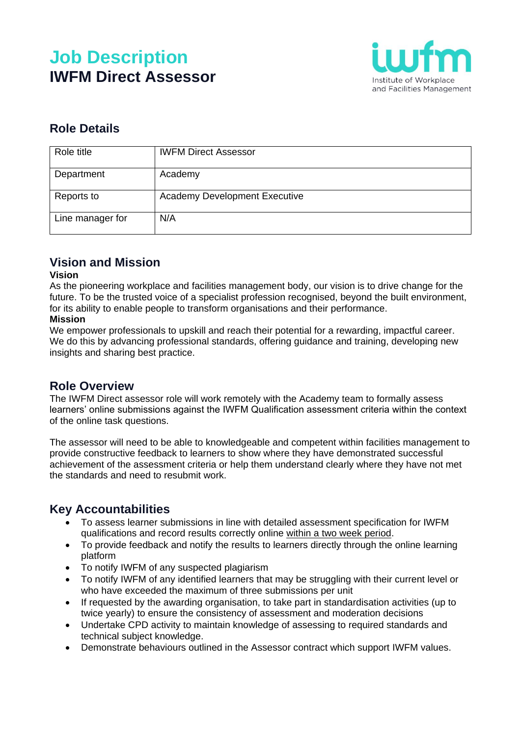# **Job Description IWFM Direct Assessor**



## **Role Details**

| Role title       | <b>IWFM Direct Assessor</b>          |
|------------------|--------------------------------------|
| Department       | Academy                              |
| Reports to       | <b>Academy Development Executive</b> |
| Line manager for | N/A                                  |

## **Vision and Mission**

#### **Vision**

As the pioneering workplace and facilities management body, our vision is to drive change for the future. To be the trusted voice of a specialist profession recognised, beyond the built environment, for its ability to enable people to transform organisations and their performance.

#### **Mission**

We empower professionals to upskill and reach their potential for a rewarding, impactful career. We do this by advancing professional standards, offering guidance and training, developing new insights and sharing best practice.

#### **Role Overview**

The IWFM Direct assessor role will work remotely with the Academy team to formally assess learners' online submissions against the IWFM Qualification assessment criteria within the context of the online task questions.

The assessor will need to be able to knowledgeable and competent within facilities management to provide constructive feedback to learners to show where they have demonstrated successful achievement of the assessment criteria or help them understand clearly where they have not met the standards and need to resubmit work.

## **Key Accountabilities**

- To assess learner submissions in line with detailed assessment specification for IWFM qualifications and record results correctly online within a two week period.
- To provide feedback and notify the results to learners directly through the online learning platform
- To notify IWFM of any suspected plagiarism
- To notify IWFM of any identified learners that may be struggling with their current level or who have exceeded the maximum of three submissions per unit
- If requested by the awarding organisation, to take part in standardisation activities (up to twice yearly) to ensure the consistency of assessment and moderation decisions
- Undertake CPD activity to maintain knowledge of assessing to required standards and technical subject knowledge.
- Demonstrate behaviours outlined in the Assessor contract which support IWFM values.